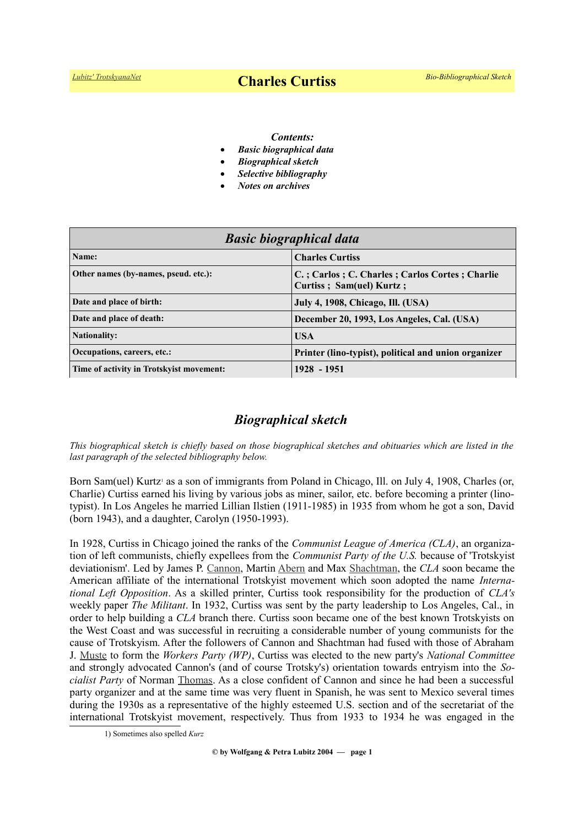#### *Contents:*

- *Basic biographical data*
- *Biographical sketch*
- *Selective bibliography*
- *Notes on archives*

| <b>Basic biographical data</b>           |                                                                            |
|------------------------------------------|----------------------------------------------------------------------------|
| Name:                                    | <b>Charles Curtiss</b>                                                     |
| Other names (by-names, pseud. etc.):     | C.; Carlos; C. Charles; Carlos Cortes; Charlie<br>Curtiss; Sam(uel) Kurtz; |
| Date and place of birth:                 | <b>July 4, 1908, Chicago, Ill. (USA)</b>                                   |
| Date and place of death:                 | December 20, 1993, Los Angeles, Cal. (USA)                                 |
| <b>Nationality:</b>                      | <b>USA</b>                                                                 |
| Occupations, careers, etc.:              | Printer (lino-typist), political and union organizer                       |
| Time of activity in Trotskyist movement: | 1928 - 1951                                                                |

# *Biographical sketch*

*This biographical sketch is chiefly based on those biographical sketches and obituaries which are listed in the last paragraph of the selected bibliography below.*

Born Sam(uel) Kurt[z](#page-0-0)<sup>1</sup> as a son of immigrants from Poland in Chicago, Ill. on July 4, 1908, Charles (or, Charlie) Curtiss earned his living by various jobs as miner, sailor, etc. before becoming a printer (linotypist). In Los Angeles he married Lillian Ilstien (1911-1985) in 1935 from whom he got a son, David (born 1943), and a daughter, Carolyn (1950-1993).

In 1928, Curtiss in Chicago joined the ranks of the *Communist League of America (CLA)*, an organization of left communists, chiefly expellees from the *Communist Party of the U.S.* because of 'Trotskyist deviationism'. Led by James P. [Cannon,](file:///E:/HOMEPAGE!/Trotskyists/Bio-Bibliographies/odt_aktuell/https:%2Fwww.trotskyana.net%2FTrotskyists%2FBio-Bibliographies%2Fbio-bibl_cannon.pdf) Martin [Abern](https://www.trotskyana.net/Trotskyists/Bio-Bibliographies/bio-bibl_abern.pdf) and Max [Shachtman,](https://www.trotskyana.net/Trotskyists/Bio-Bibliographies/bio-bibl_shachtman.pdf) the *CLA* soon became the American affiliate of the international Trotskyist movement which soon adopted the name *International Left Opposition*. As a skilled printer, Curtiss took responsibility for the production of *CLA's* weekly paper *The Militant*. In 1932, Curtiss was sent by the party leadership to Los Angeles, Cal., in order to help building a *CLA* branch there. Curtiss soon became one of the best known Trotskyists on the West Coast and was successful in recruiting a considerable number of young communists for the cause of Trotskyism. After the followers of Cannon and Shachtman had fused with those of Abraham J. [Muste](https://en.wikipedia.org/wiki/A._J._Muste) to form the *Workers Party (WP)*, Curtiss was elected to the new party's *National Committee* and strongly advocated Cannon's (and of course Trotsky's) orientation towards entryism into the *Socialist Party* of Norman [Thomas.](https://en.wikipedia.org/wiki/Norman_Thomas) As a close confident of Cannon and since he had been a successful party organizer and at the same time was very fluent in Spanish, he was sent to Mexico several times during the 1930s as a representative of the highly esteemed U.S. section and of the secretariat of the international Trotskyist movement, respectively. Thus from 1933 to 1934 he was engaged in the

<span id="page-0-0"></span><sup>1)</sup> Sometimes also spelled *Kurz*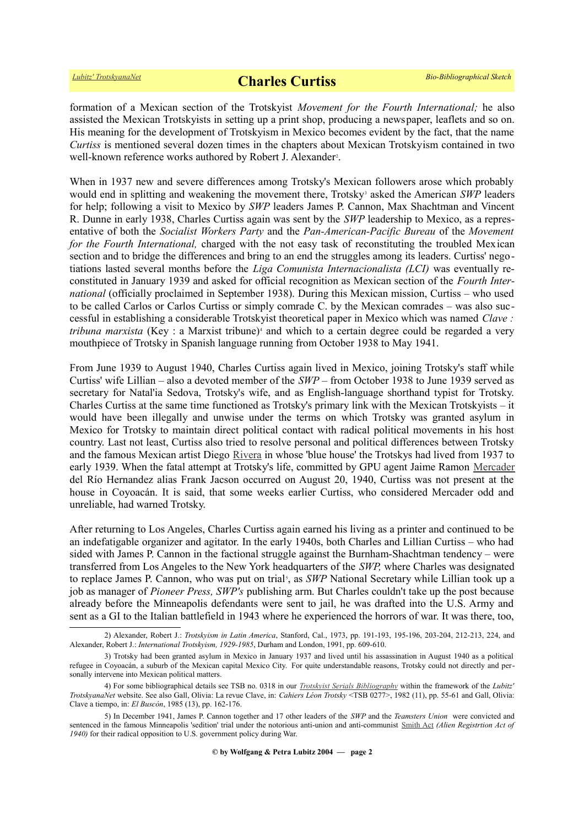# *[Lubitz' TrotskyanaNet](https://www.trotskyana.net/)* **Charles Curtiss** *Bio-Bibliographical Sketch*

formation of a Mexican section of the Trotskyist *Movement for the Fourth International;* he also assisted the Mexican Trotskyists in setting up a print shop, producing a newspaper, leaflets and so on. His meaning for the development of Trotskyism in Mexico becomes evident by the fact, that the name *Curtiss* is mentioned several dozen times in the chapters about Mexican Trotskyism contained in two well-known reference works authored by Robert J. Alexander<sup>[2](#page-1-0)</sup>.

When in 1937 new and severe differences among Trotsky's Mexican followers arose which probably wouldend in splitting and weakening the movement there, Trotsky<sup>3</sup> asked the American SWP leaders for help; following a visit to Mexico by *SWP* leaders James P. Cannon, Max Shachtman and Vincent R. Dunne in early 1938, Charles Curtiss again was sent by the *SWP* leadership to Mexico, as a representative of both the *Socialist Workers Party* and the *Pan-American-Pacific Bureau* of the *Movement for the Fourth International, charged with the not easy task of reconstituting the troubled Mexican* section and to bridge the differences and bring to an end the struggles among its leaders. Curtiss' negotiations lasted several months before the *Liga Comunista Internacionalista (LCI)* was eventually reconstituted in January 1939 and asked for official recognition as Mexican section of the *Fourth International* (officially proclaimed in September 1938). During this Mexican mission, Curtiss – who used to be called Carlos or Carlos Curtiss or simply comrade C. by the Mexican comrades – was also successful in establishing a considerable Trotskyist theoretical paper in Mexico which was named *Clave :* tribuna marxista (Key : a Marxist tribune)<sup>[4](#page-1-2)</sup> and which to a certain degree could be regarded a very mouthpiece of Trotsky in Spanish language running from October 1938 to May 1941.

From June 1939 to August 1940, Charles Curtiss again lived in Mexico, joining Trotsky's staff while Curtiss' wife Lillian – also a devoted member of the *SWP* – from October 1938 to June 1939 served as secretary for Natal'ia Sedova, Trotsky's wife, and as English-language shorthand typist for Trotsky. Charles Curtiss at the same time functioned as Trotsky's primary link with the Mexican Trotskyists – it would have been illegally and unwise under the terms on which Trotsky was granted asylum in Mexico for Trotsky to maintain direct political contact with radical political movements in his host country. Last not least, Curtiss also tried to resolve personal and political differences between Trotsky and the famous Mexican artist Diego [Rivera](https://en.wikipedia.org/wiki/Diego_Rivera) in whose 'blue house' the Trotskys had lived from 1937 to early 1939. When the fatal attempt at Trotsky's life, committed by GPU agent Jaime Ramon [Mercader](https://en.wikipedia.org/wiki/Ram%C3%B3n_Mercader) del Río Hernandez alias Frank Jacson occurred on August 20, 1940, Curtiss was not present at the house in Coyoacán. It is said, that some weeks earlier Curtiss, who considered Mercader odd and unreliable, had warned Trotsky.

After returning to Los Angeles, Charles Curtiss again earned his living as a printer and continued to be an indefatigable organizer and agitator. In the early 1940s, both Charles and Lillian Curtiss – who had sided with James P. Cannon in the factional struggle against the Burnham-Shachtman tendency – were transferred from Los Angeles to the New York headquarters of the *SWP,* where Charles was designated to replace James P. Cannon, who was put on trial<sup>[5](#page-1-3)</sup>, as *SWP* National Secretary while Lillian took up a job as manager of *Pioneer Press, SWP's* publishing arm. But Charles couldn't take up the post because already before the Minneapolis defendants were sent to jail, he was drafted into the U.S. Army and sent as a GI to the Italian battlefield in 1943 where he experienced the horrors of war. It was there, too,

<span id="page-1-0"></span><sup>2)</sup> Alexander, Robert J.: *Trotskyism in Latin America*, Stanford, Cal., 1973, pp. 191-193, 195-196, 203-204, 212-213, 224, and Alexander, Robert J.: *International Trotskyism, 1929-1985*, Durham and London, 1991, pp. 609-610.

<span id="page-1-1"></span><sup>3)</sup> Trotsky had been granted asylum in Mexico in January 1937 and lived until his assassination in August 1940 as a political refugee in Coyoacán, a suburb of the Mexican capital Mexico City. For quite understandable reasons, Trotsky could not directly and personally intervene into Mexican political matters.

<span id="page-1-2"></span><sup>4)</sup> For some bibliographical details see TSB no. 0318 in our *[Trotskyist Serials Bibliography](https://www.trotskyana.net/LubitzBibliographies/Serials_Bibliography/serials_bibliography.htm#PDF)* within the framework of the *Lubitz' TrotskyanaNet* website. See also Gall, Olivia: La revue Clave, in: *Cahiers Léon Trotsky* <TSB 0277>, 1982 (11), pp. 55-61 and Gall, Olivia: Clave a tiempo, in: *El Buscón*, 1985 (13), pp. 162-176.

<span id="page-1-3"></span><sup>5)</sup> In December 1941, James P. Cannon together and 17 other leaders of the *SWP* and the *Teamsters Union* were convicted and sentenced in the famous Minneapolis 'sedition' trial under the notorious anti-union and anti-communist [Smith Act](https://en.wikipedia.org/wiki/Smith_Act) *(Alien Registrtion Act of 1940)* for their radical opposition to U.S. government policy during War.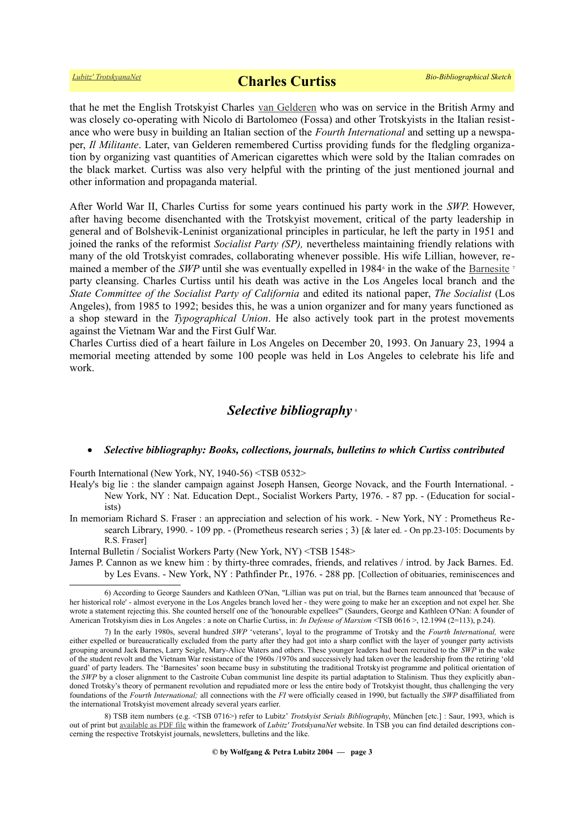# *[Lubitz' TrotskyanaNet](https://www.trotskyana.net/)* **Charles Curtiss** *Bio-Bibliographical Sketch*

that he met the English Trotskyist Charles [van Gelderen](http://www.theguardian.com/news/2001/dec/15/guardianobituaries.obituaries) who was on service in the British Army and was closely co-operating with Nicolo di Bartolomeo (Fossa) and other Trotskyists in the Italian resistance who were busy in building an Italian section of the *Fourth International* and setting up a newspaper, *Il Militante*. Later, van Gelderen remembered Curtiss providing funds for the fledgling organization by organizing vast quantities of American cigarettes which were sold by the Italian comrades on the black market. Curtiss was also very helpful with the printing of the just mentioned journal and other information and propaganda material.

After World War II, Charles Curtiss for some years continued his party work in the *SWP*. However, after having become disenchanted with the Trotskyist movement, critical of the party leadership in general and of Bolshevik-Leninist organizational principles in particular, he left the party in 1951 and joined the ranks of the reformist *Socialist Party (SP),* nevertheless maintaining friendly relations with many of the old Trotskyist comrades, collaborating whenever possible. His wife Lillian, however, remaineda member of the *SWP* until she was eventually expelled in 1984<sup>6</sup> in the wake of the **Barnesite**<sup>[7](#page-2-1)</sup> party cleansing. Charles Curtiss until his death was active in the Los Angeles local branch and the *State Committee of the Socialist Party of California* and edited its national paper, *The Socialist* (Los Angeles), from 1985 to 1992; besides this, he was a union organizer and for many years functioned as a shop steward in the *Typographical Union*. He also actively took part in the protest movements against the Vietnam War and the First Gulf War.

Charles Curtiss died of a heart failure in Los Angeles on December 20, 1993. On January 23, 1994 a memorial meeting attended by some 100 people was held in Los Angeles to celebrate his life and work.

### *Selective bibliography* [8](#page-2-2)

### *Selective bibliography: Books, collections, journals, bulletins to which Curtiss contributed*

Fourth International (New York, NY, 1940-56) <TSB 0532>

Healy's big lie : the slander campaign against Joseph Hansen, George Novack, and the Fourth International. - New York, NY : Nat. Education Dept., Socialist Workers Party, 1976. - 87 pp. - (Education for socialists)

In memoriam Richard S. Fraser : an appreciation and selection of his work. - New York, NY : Prometheus Research Library, 1990. - 109 pp. - (Prometheus research series ; 3) [& later ed. - On pp.23-105: Documents by R.S. Fraser]

Internal Bulletin / Socialist Workers Party (New York, NY) <TSB 1548>

James P. Cannon as we knew him : by thirty-three comrades, friends, and relatives / introd. by Jack Barnes. Ed. by Les Evans. - New York, NY : Pathfinder Pr., 1976. - 288 pp. [Collection of obituaries, reminiscences and

<span id="page-2-0"></span><sup>6)</sup> According to George Saunders and Kathleen O'Nan, "Lillian was put on trial, but the Barnes team announced that 'because of her historical role' - almost everyone in the Los Angeles branch loved her - they were going to make her an exception and not expel her. She wrote a statement rejecting this. She counted herself one of the 'honourable expellees'" (Saunders, George and Kathleen O'Nan: A founder of American Trotskyism dies in Los Angeles : a note on Charlie Curtiss, in: *In Defense of Marxism* <TSB 0616 >, 12.1994 (2=113), p.24).

<span id="page-2-1"></span><sup>7)</sup> In the early 1980s, several hundred *SWP* 'veterans', loyal to the programme of Trotsky and the *Fourth International,* were either expelled or bureaucratically excluded from the party after they had got into a sharp conflict with the layer of younger party activists grouping around Jack Barnes, Larry Seigle, Mary-Alice Waters and others. These younger leaders had been recruited to the *SWP* in the wake of the student revolt and the Vietnam War resistance of the 1960s /1970s and successively had taken over the leadership from the retiring 'old guard' of party leaders. The 'Barnesites' soon became busy in substituting the traditional Trotskyist programme and political orientation of the *SWP* by a closer alignment to the Castroite Cuban communist line despite its partial adaptation to Stalinism. Thus they explicitly abandoned Trotsky's theory of permanent revolution and repudiated more or less the entire body of Trotskyist thought, thus challenging the very foundations of the *Fourth International;* all connections with the *FI* were officially ceased in 1990, but factually the *SWP* disaffiliated from the international Trotskyist movement already several years earlier.

<span id="page-2-2"></span><sup>8)</sup> TSB item numbers (e.g. <TSB 0716>) refer to Lubitz' *Trotskyist Serials Bibliography*, München [etc.] : Saur, 1993, which is out of print but [available as PDF file](https://www.trotskyana.net/LubitzBibliographies/Serials_Bibliography/serials_bibliography.htm#PDF) within the framework of *Lubitz' TrotskyanaNet* website. In TSB you can find detailed descriptions concerning the respective Trotskyist journals, newsletters, bulletins and the like.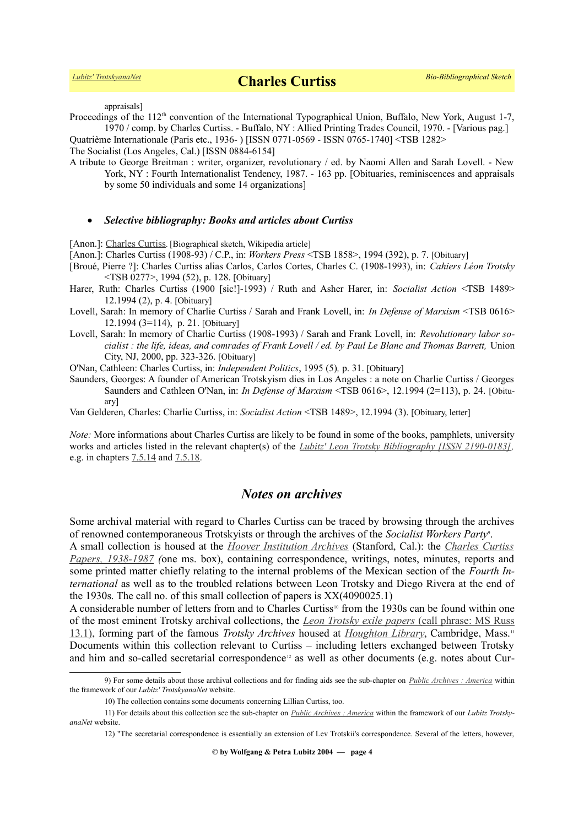appraisals]

Proceedings of the 112<sup>th</sup> convention of the International Typographical Union, Buffalo, New York, August 1-7, 1970 / comp. by Charles Curtiss. - Buffalo, NY : Allied Printing Trades Council, 1970. - [Various pag.]

Quatrième Internationale (Paris etc., 1936- ) [ISSN 0771-0569 - ISSN 0765-1740] <TSB 1282>

The Socialist (Los Angeles, Cal.) [ISSN 0884-6154]

A tribute to George Breitman : writer, organizer, revolutionary / ed. by Naomi Allen and Sarah Lovell. - New York, NY : Fourth Internationalist Tendency, 1987. - 163 pp. [Obituaries, reminiscences and appraisals by some 50 individuals and some 14 organizations]

### *Selective bibliography: Books and articles about Curtiss*

[Anon.]: [Charles Curtiss](https://en.wikipedia.org/wiki/Charles_Curtiss). [Biographical sketch, Wikipedia article]

[Anon.]: Charles Curtiss (1908-93) / C.P., in: *Workers Press* <TSB 1858>, 1994 (392), p. 7. [Obituary]

[Broué, Pierre ?]: Charles Curtiss alias Carlos, Carlos Cortes, Charles C. (1908-1993), in: *Cahiers Léon Trotsky* <TSB 0277>, 1994 (52), p. 128. [Obituary]

Harer, Ruth: Charles Curtiss (1900 [sic!]-1993) / Ruth and Asher Harer, in: *Socialist Action* <TSB 1489> 12.1994 (2), p. 4. [Obituary]

- Lovell, Sarah: In memory of Charlie Curtiss / Sarah and Frank Lovell, in: *In Defense of Marxism* <TSB 0616> 12.1994 (3=114), p. 21. [Obituary]
- Lovell, Sarah: In memory of Charlie Curtiss (1908-1993) / Sarah and Frank Lovell, in: *Revolutionary labor socialist : the life, ideas, and comrades of Frank Lovell / ed. by Paul Le Blanc and Thomas Barrett,* Union City, NJ, 2000, pp. 323-326. [Obituary]

O'Nan, Cathleen: Charles Curtiss, in: *Independent Politics*, 1995 (5)*,* p. 31. [Obituary]

Saunders, Georges: A founder of American Trotskyism dies in Los Angeles : a note on Charlie Curtiss / Georges Saunders and Cathleen O'Nan, in: *In Defense of Marxism* <TSB 0616>, 12.1994 (2=113), p. 24. [Obituary]

Van Gelderen, Charles: Charlie Curtiss, in: *Socialist Action* <TSB 1489>, 12.1994 (3). [Obituary, letter]

*Note:* More informations about Charles Curtiss are likely to be found in some of the books, pamphlets, university works and articles listed in the relevant chapter(s) of the *[Lubitz' Leon Trotsky Bibliography \[ISSN 2190-0183\],](https://www.trotskyana.net/LubitzBibliographies/Trotsky_Bibliography/Leon_Trotsky_Bibliography.html)* e.g. in chapters <u>7.5.14</u> and <u>7.5.18</u>.

# *Notes on archives*

Some archival material with regard to Charles Curtiss can be traced by browsing through the archives of renowned contemporaneous Trotskyists or through the archives of the *Socialist Workers Party*[9](#page-3-0) .

A small collection is housed at the *[Hoover Institution Archives](https://www.trotskyana.net/Research_facilities/PublicArchives_America/publicarchives_america.html#hoover)* (Stanford, Cal.): the *[Charles Curtiss](http://www.oac.cdlib.org/findaid/ark:/13030/kt3290324s/) [Papers, 1938-1987](http://www.oac.cdlib.org/findaid/ark:/13030/kt3290324s/) (*one ms. box), containing correspondence, writings, notes, minutes, reports and some printed matter chiefly relating to the internal problems of the Mexican section of the *Fourth International* as well as to the troubled relations between Leon Trotsky and Diego Rivera at the end of the 1930s. The call no. of this small collection of papers is XX(4090025.1)

A considerable number of letters from and to Charles Curtiss<sup>[10](#page-3-1)</sup> from the 1930s can be found within one of the most eminent Trotsky archival collections, the *[Leon Trotsky exile papers](https://hollisarchives.lib.harvard.edu/repositories/24/resources/6706)* [\(call phrase: MS Russ](http://oasis.lib.harvard.edu//oasis/deliver/deepLink?_collection=oasis&uniqueId=hou00301) [13.1\),](http://oasis.lib.harvard.edu//oasis/deliver/deepLink?_collection=oasis&uniqueId=hou00301) forming part of the famous *Trotsky Archives* housed at *[Houghton Library](https://www.trotskyana.net/Research_facilities/PublicArchives_America/publicarchives_america.html#houghton)*, Cambridge, Mass.[11](#page-3-2) Documents within this collection relevant to Curtiss – including letters exchanged between Trotsky and him and so-called secretarial correspondence<sup>[12](#page-3-3)</sup> as well as other documents (e.g. notes about Cur-

<sup>9)</sup> For some details about those archival collections and for finding aids see the sub-chapter on *[Public Archives : America](https://www.trotskyana.net/Research_facilities/PublicArchives_America/publicarchives_america.html)* within the framework of our *Lubitz' TrotskyanaNet* website.

<span id="page-3-2"></span><span id="page-3-1"></span><span id="page-3-0"></span><sup>10)</sup> The collection contains some documents concerning Lillian Curtiss, too.

<sup>11)</sup> For details about this collection see the sub-chapter on *[Public Archives : America](https://www.trotskyana.net/Research_facilities/PublicArchives_America/publicarchives_america.html)* within the framework of our *Lubitz TrotskyanaNet* website.

<span id="page-3-3"></span><sup>12) &</sup>quot;The secretarial correspondence is essentially an extension of Lev Trotskii's correspondence. Several of the letters, however,